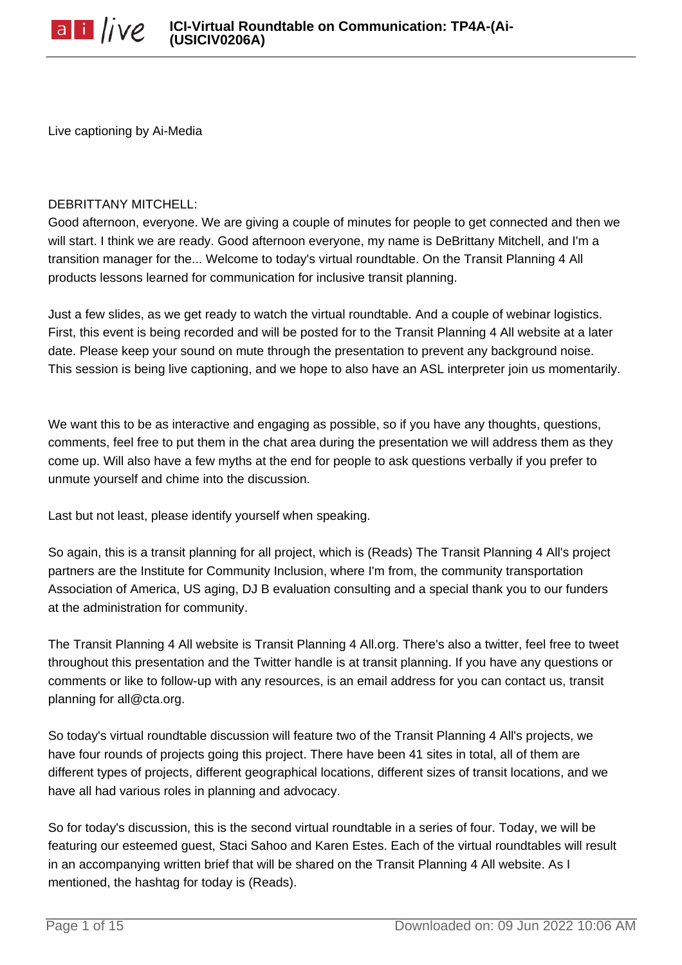Live captioning by Ai-Media

#### DEBRITTANY MITCHELL:

Good afternoon, everyone. We are giving a couple of minutes for people to get connected and then we will start. I think we are ready. Good afternoon everyone, my name is DeBrittany Mitchell, and I'm a transition manager for the... Welcome to today's virtual roundtable. On the Transit Planning 4 All products lessons learned for communication for inclusive transit planning.

Just a few slides, as we get ready to watch the virtual roundtable. And a couple of webinar logistics. First, this event is being recorded and will be posted for to the Transit Planning 4 All website at a later date. Please keep your sound on mute through the presentation to prevent any background noise. This session is being live captioning, and we hope to also have an ASL interpreter join us momentarily.

We want this to be as interactive and engaging as possible, so if you have any thoughts, questions, comments, feel free to put them in the chat area during the presentation we will address them as they come up. Will also have a few myths at the end for people to ask questions verbally if you prefer to unmute yourself and chime into the discussion.

Last but not least, please identify yourself when speaking.

So again, this is a transit planning for all project, which is (Reads) The Transit Planning 4 All's project partners are the Institute for Community Inclusion, where I'm from, the community transportation Association of America, US aging, DJ B evaluation consulting and a special thank you to our funders at the administration for community.

The Transit Planning 4 All website is Transit Planning 4 All.org. There's also a twitter, feel free to tweet throughout this presentation and the Twitter handle is at transit planning. If you have any questions or comments or like to follow-up with any resources, is an email address for you can contact us, transit planning for all@cta.org.

So today's virtual roundtable discussion will feature two of the Transit Planning 4 All's projects, we have four rounds of projects going this project. There have been 41 sites in total, all of them are different types of projects, different geographical locations, different sizes of transit locations, and we have all had various roles in planning and advocacy.

So for today's discussion, this is the second virtual roundtable in a series of four. Today, we will be featuring our esteemed guest, Staci Sahoo and Karen Estes. Each of the virtual roundtables will result in an accompanying written brief that will be shared on the Transit Planning 4 All website. As I mentioned, the hashtag for today is (Reads).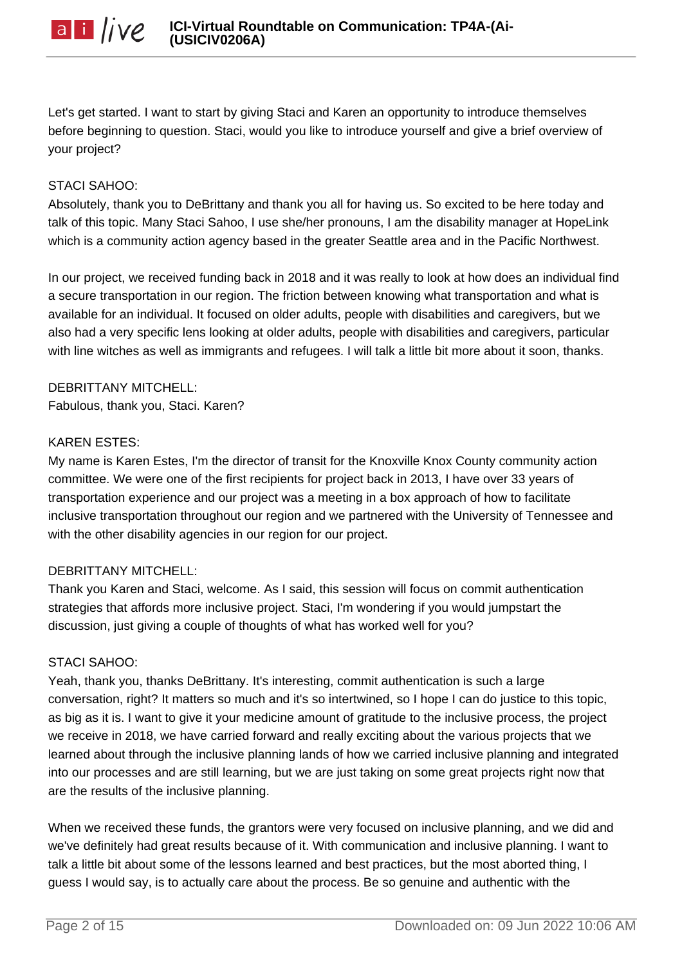

Let's get started. I want to start by giving Staci and Karen an opportunity to introduce themselves before beginning to question. Staci, would you like to introduce yourself and give a brief overview of your project?

#### STACI SAHOO:

Absolutely, thank you to DeBrittany and thank you all for having us. So excited to be here today and talk of this topic. Many Staci Sahoo, I use she/her pronouns, I am the disability manager at HopeLink which is a community action agency based in the greater Seattle area and in the Pacific Northwest.

In our project, we received funding back in 2018 and it was really to look at how does an individual find a secure transportation in our region. The friction between knowing what transportation and what is available for an individual. It focused on older adults, people with disabilities and caregivers, but we also had a very specific lens looking at older adults, people with disabilities and caregivers, particular with line witches as well as immigrants and refugees. I will talk a little bit more about it soon, thanks.

DEBRITTANY MITCHELL: Fabulous, thank you, Staci. Karen?

#### KAREN ESTES:

My name is Karen Estes, I'm the director of transit for the Knoxville Knox County community action committee. We were one of the first recipients for project back in 2013, I have over 33 years of transportation experience and our project was a meeting in a box approach of how to facilitate inclusive transportation throughout our region and we partnered with the University of Tennessee and with the other disability agencies in our region for our project.

#### DEBRITTANY MITCHELL:

Thank you Karen and Staci, welcome. As I said, this session will focus on commit authentication strategies that affords more inclusive project. Staci, I'm wondering if you would jumpstart the discussion, just giving a couple of thoughts of what has worked well for you?

#### STACI SAHOO:

Yeah, thank you, thanks DeBrittany. It's interesting, commit authentication is such a large conversation, right? It matters so much and it's so intertwined, so I hope I can do justice to this topic, as big as it is. I want to give it your medicine amount of gratitude to the inclusive process, the project we receive in 2018, we have carried forward and really exciting about the various projects that we learned about through the inclusive planning lands of how we carried inclusive planning and integrated into our processes and are still learning, but we are just taking on some great projects right now that are the results of the inclusive planning.

When we received these funds, the grantors were very focused on inclusive planning, and we did and we've definitely had great results because of it. With communication and inclusive planning. I want to talk a little bit about some of the lessons learned and best practices, but the most aborted thing, I guess I would say, is to actually care about the process. Be so genuine and authentic with the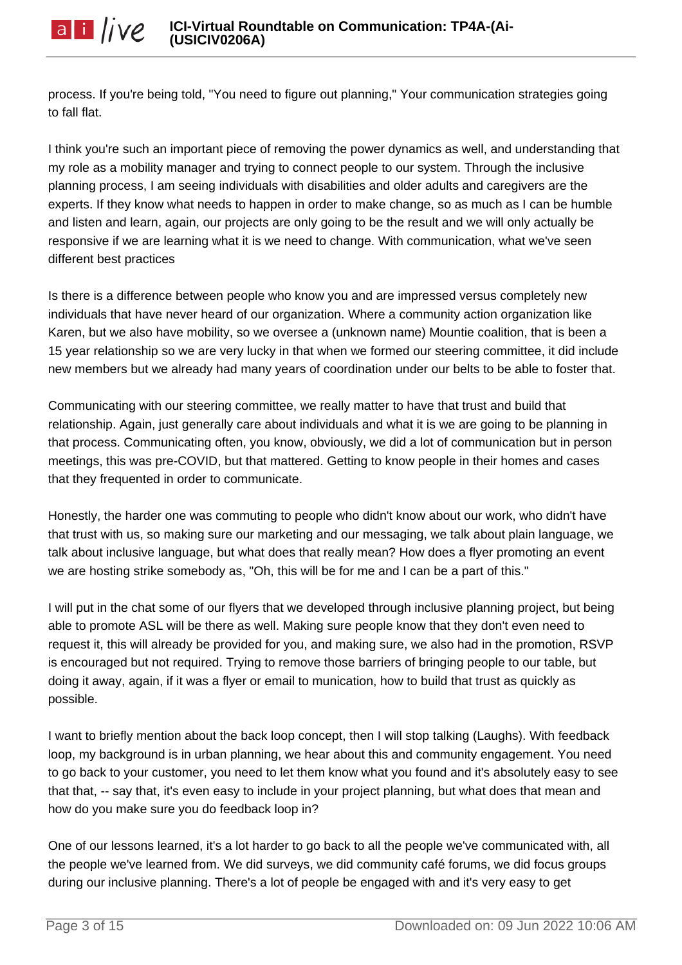process. If you're being told, "You need to figure out planning," Your communication strategies going to fall flat.

I think you're such an important piece of removing the power dynamics as well, and understanding that my role as a mobility manager and trying to connect people to our system. Through the inclusive planning process, I am seeing individuals with disabilities and older adults and caregivers are the experts. If they know what needs to happen in order to make change, so as much as I can be humble and listen and learn, again, our projects are only going to be the result and we will only actually be responsive if we are learning what it is we need to change. With communication, what we've seen different best practices

Is there is a difference between people who know you and are impressed versus completely new individuals that have never heard of our organization. Where a community action organization like Karen, but we also have mobility, so we oversee a (unknown name) Mountie coalition, that is been a 15 year relationship so we are very lucky in that when we formed our steering committee, it did include new members but we already had many years of coordination under our belts to be able to foster that.

Communicating with our steering committee, we really matter to have that trust and build that relationship. Again, just generally care about individuals and what it is we are going to be planning in that process. Communicating often, you know, obviously, we did a lot of communication but in person meetings, this was pre-COVID, but that mattered. Getting to know people in their homes and cases that they frequented in order to communicate.

Honestly, the harder one was commuting to people who didn't know about our work, who didn't have that trust with us, so making sure our marketing and our messaging, we talk about plain language, we talk about inclusive language, but what does that really mean? How does a flyer promoting an event we are hosting strike somebody as, "Oh, this will be for me and I can be a part of this."

I will put in the chat some of our flyers that we developed through inclusive planning project, but being able to promote ASL will be there as well. Making sure people know that they don't even need to request it, this will already be provided for you, and making sure, we also had in the promotion, RSVP is encouraged but not required. Trying to remove those barriers of bringing people to our table, but doing it away, again, if it was a flyer or email to munication, how to build that trust as quickly as possible.

I want to briefly mention about the back loop concept, then I will stop talking (Laughs). With feedback loop, my background is in urban planning, we hear about this and community engagement. You need to go back to your customer, you need to let them know what you found and it's absolutely easy to see that that, -- say that, it's even easy to include in your project planning, but what does that mean and how do you make sure you do feedback loop in?

One of our lessons learned, it's a lot harder to go back to all the people we've communicated with, all the people we've learned from. We did surveys, we did community café forums, we did focus groups during our inclusive planning. There's a lot of people be engaged with and it's very easy to get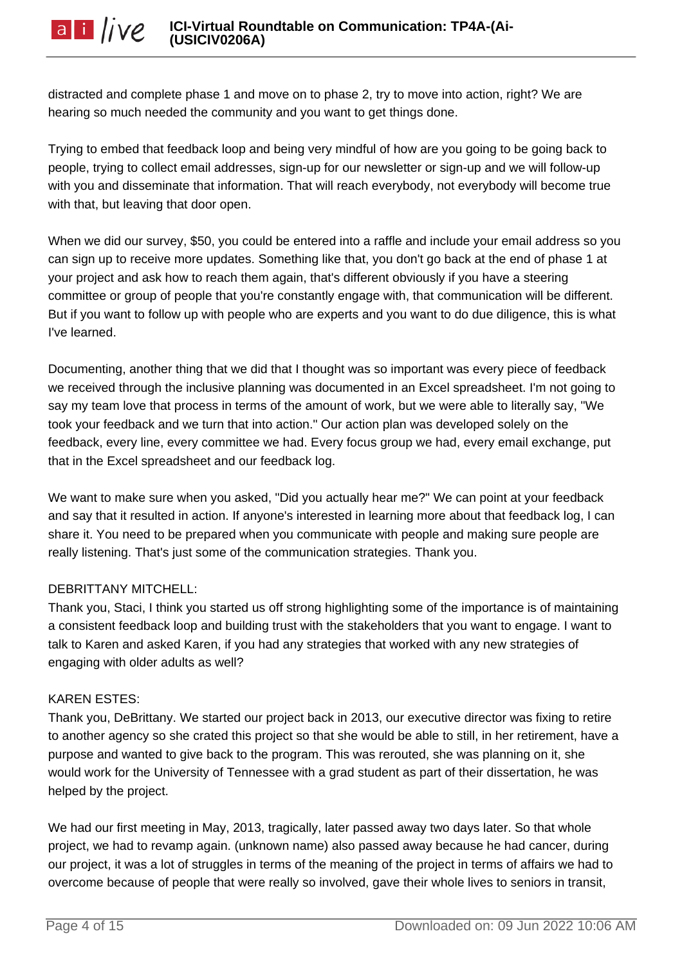**ICI-Virtual Roundtable on Communication: TP4A-(Ai-**

distracted and complete phase 1 and move on to phase 2, try to move into action, right? We are hearing so much needed the community and you want to get things done.

Trying to embed that feedback loop and being very mindful of how are you going to be going back to people, trying to collect email addresses, sign-up for our newsletter or sign-up and we will follow-up with you and disseminate that information. That will reach everybody, not everybody will become true with that, but leaving that door open.

When we did our survey, \$50, you could be entered into a raffle and include your email address so you can sign up to receive more updates. Something like that, you don't go back at the end of phase 1 at your project and ask how to reach them again, that's different obviously if you have a steering committee or group of people that you're constantly engage with, that communication will be different. But if you want to follow up with people who are experts and you want to do due diligence, this is what I've learned.

Documenting, another thing that we did that I thought was so important was every piece of feedback we received through the inclusive planning was documented in an Excel spreadsheet. I'm not going to say my team love that process in terms of the amount of work, but we were able to literally say, "We took your feedback and we turn that into action." Our action plan was developed solely on the feedback, every line, every committee we had. Every focus group we had, every email exchange, put that in the Excel spreadsheet and our feedback log.

We want to make sure when you asked, "Did you actually hear me?" We can point at your feedback and say that it resulted in action. If anyone's interested in learning more about that feedback log, I can share it. You need to be prepared when you communicate with people and making sure people are really listening. That's just some of the communication strategies. Thank you.

# DEBRITTANY MITCHELL:

Thank you, Staci, I think you started us off strong highlighting some of the importance is of maintaining a consistent feedback loop and building trust with the stakeholders that you want to engage. I want to talk to Karen and asked Karen, if you had any strategies that worked with any new strategies of engaging with older adults as well?

#### KAREN ESTES:

Thank you, DeBrittany. We started our project back in 2013, our executive director was fixing to retire to another agency so she crated this project so that she would be able to still, in her retirement, have a purpose and wanted to give back to the program. This was rerouted, she was planning on it, she would work for the University of Tennessee with a grad student as part of their dissertation, he was helped by the project.

We had our first meeting in May, 2013, tragically, later passed away two days later. So that whole project, we had to revamp again. (unknown name) also passed away because he had cancer, during our project, it was a lot of struggles in terms of the meaning of the project in terms of affairs we had to overcome because of people that were really so involved, gave their whole lives to seniors in transit,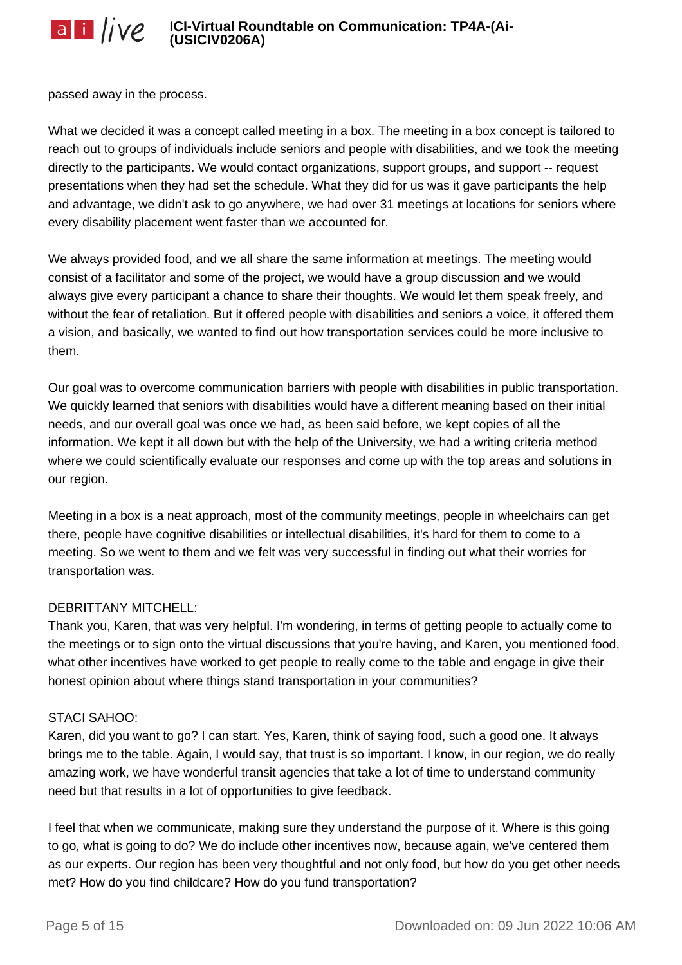passed away in the process.

What we decided it was a concept called meeting in a box. The meeting in a box concept is tailored to reach out to groups of individuals include seniors and people with disabilities, and we took the meeting directly to the participants. We would contact organizations, support groups, and support -- request presentations when they had set the schedule. What they did for us was it gave participants the help and advantage, we didn't ask to go anywhere, we had over 31 meetings at locations for seniors where every disability placement went faster than we accounted for.

We always provided food, and we all share the same information at meetings. The meeting would consist of a facilitator and some of the project, we would have a group discussion and we would always give every participant a chance to share their thoughts. We would let them speak freely, and without the fear of retaliation. But it offered people with disabilities and seniors a voice, it offered them a vision, and basically, we wanted to find out how transportation services could be more inclusive to them.

Our goal was to overcome communication barriers with people with disabilities in public transportation. We quickly learned that seniors with disabilities would have a different meaning based on their initial needs, and our overall goal was once we had, as been said before, we kept copies of all the information. We kept it all down but with the help of the University, we had a writing criteria method where we could scientifically evaluate our responses and come up with the top areas and solutions in our region.

Meeting in a box is a neat approach, most of the community meetings, people in wheelchairs can get there, people have cognitive disabilities or intellectual disabilities, it's hard for them to come to a meeting. So we went to them and we felt was very successful in finding out what their worries for transportation was.

# DEBRITTANY MITCHELL:

Thank you, Karen, that was very helpful. I'm wondering, in terms of getting people to actually come to the meetings or to sign onto the virtual discussions that you're having, and Karen, you mentioned food, what other incentives have worked to get people to really come to the table and engage in give their honest opinion about where things stand transportation in your communities?

#### STACI SAHOO:

Karen, did you want to go? I can start. Yes, Karen, think of saying food, such a good one. It always brings me to the table. Again, I would say, that trust is so important. I know, in our region, we do really amazing work, we have wonderful transit agencies that take a lot of time to understand community need but that results in a lot of opportunities to give feedback.

I feel that when we communicate, making sure they understand the purpose of it. Where is this going to go, what is going to do? We do include other incentives now, because again, we've centered them as our experts. Our region has been very thoughtful and not only food, but how do you get other needs met? How do you find childcare? How do you fund transportation?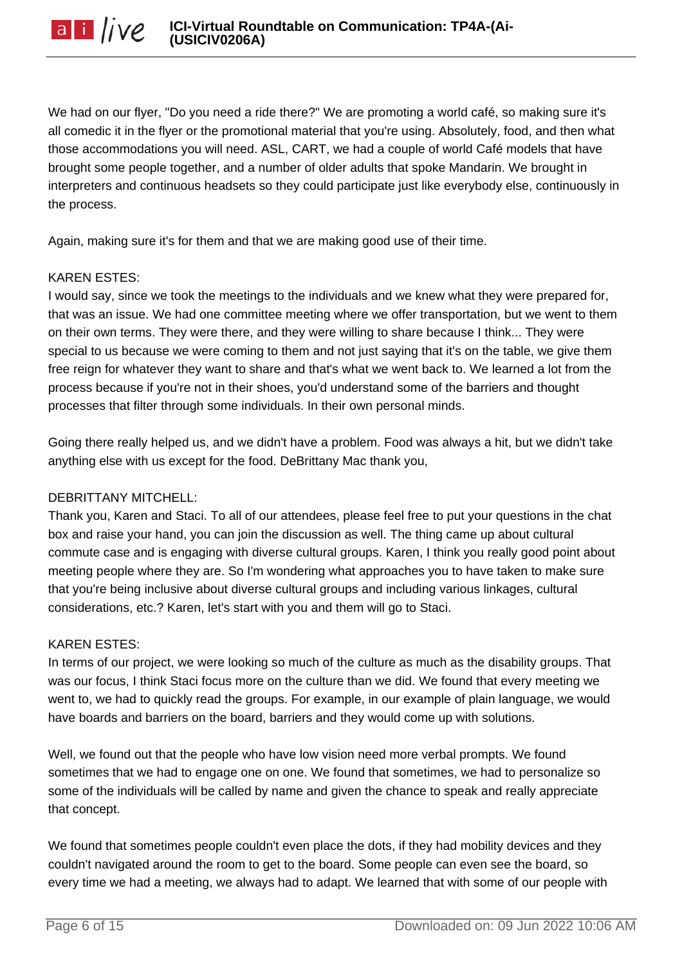We had on our flyer, "Do you need a ride there?" We are promoting a world café, so making sure it's all comedic it in the flyer or the promotional material that you're using. Absolutely, food, and then what those accommodations you will need. ASL, CART, we had a couple of world Café models that have brought some people together, and a number of older adults that spoke Mandarin. We brought in interpreters and continuous headsets so they could participate just like everybody else, continuously in the process.

Again, making sure it's for them and that we are making good use of their time.

### KAREN ESTES:

I would say, since we took the meetings to the individuals and we knew what they were prepared for, that was an issue. We had one committee meeting where we offer transportation, but we went to them on their own terms. They were there, and they were willing to share because I think... They were special to us because we were coming to them and not just saying that it's on the table, we give them free reign for whatever they want to share and that's what we went back to. We learned a lot from the process because if you're not in their shoes, you'd understand some of the barriers and thought processes that filter through some individuals. In their own personal minds.

Going there really helped us, and we didn't have a problem. Food was always a hit, but we didn't take anything else with us except for the food. DeBrittany Mac thank you,

# DEBRITTANY MITCHELL:

Thank you, Karen and Staci. To all of our attendees, please feel free to put your questions in the chat box and raise your hand, you can join the discussion as well. The thing came up about cultural commute case and is engaging with diverse cultural groups. Karen, I think you really good point about meeting people where they are. So I'm wondering what approaches you to have taken to make sure that you're being inclusive about diverse cultural groups and including various linkages, cultural considerations, etc.? Karen, let's start with you and them will go to Staci.

#### KAREN ESTES:

In terms of our project, we were looking so much of the culture as much as the disability groups. That was our focus, I think Staci focus more on the culture than we did. We found that every meeting we went to, we had to quickly read the groups. For example, in our example of plain language, we would have boards and barriers on the board, barriers and they would come up with solutions.

Well, we found out that the people who have low vision need more verbal prompts. We found sometimes that we had to engage one on one. We found that sometimes, we had to personalize so some of the individuals will be called by name and given the chance to speak and really appreciate that concept.

We found that sometimes people couldn't even place the dots, if they had mobility devices and they couldn't navigated around the room to get to the board. Some people can even see the board, so every time we had a meeting, we always had to adapt. We learned that with some of our people with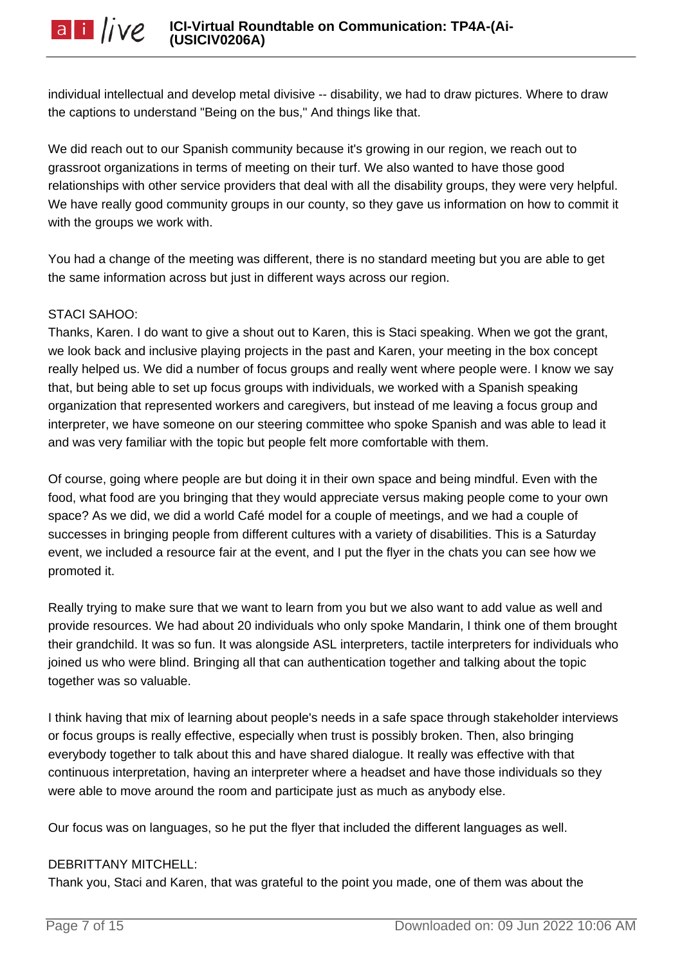individual intellectual and develop metal divisive -- disability, we had to draw pictures. Where to draw the captions to understand "Being on the bus," And things like that.

We did reach out to our Spanish community because it's growing in our region, we reach out to grassroot organizations in terms of meeting on their turf. We also wanted to have those good relationships with other service providers that deal with all the disability groups, they were very helpful. We have really good community groups in our county, so they gave us information on how to commit it with the groups we work with.

You had a change of the meeting was different, there is no standard meeting but you are able to get the same information across but just in different ways across our region.

# STACI SAHOO:

Thanks, Karen. I do want to give a shout out to Karen, this is Staci speaking. When we got the grant, we look back and inclusive playing projects in the past and Karen, your meeting in the box concept really helped us. We did a number of focus groups and really went where people were. I know we say that, but being able to set up focus groups with individuals, we worked with a Spanish speaking organization that represented workers and caregivers, but instead of me leaving a focus group and interpreter, we have someone on our steering committee who spoke Spanish and was able to lead it and was very familiar with the topic but people felt more comfortable with them.

Of course, going where people are but doing it in their own space and being mindful. Even with the food, what food are you bringing that they would appreciate versus making people come to your own space? As we did, we did a world Café model for a couple of meetings, and we had a couple of successes in bringing people from different cultures with a variety of disabilities. This is a Saturday event, we included a resource fair at the event, and I put the flyer in the chats you can see how we promoted it.

Really trying to make sure that we want to learn from you but we also want to add value as well and provide resources. We had about 20 individuals who only spoke Mandarin, I think one of them brought their grandchild. It was so fun. It was alongside ASL interpreters, tactile interpreters for individuals who joined us who were blind. Bringing all that can authentication together and talking about the topic together was so valuable.

I think having that mix of learning about people's needs in a safe space through stakeholder interviews or focus groups is really effective, especially when trust is possibly broken. Then, also bringing everybody together to talk about this and have shared dialogue. It really was effective with that continuous interpretation, having an interpreter where a headset and have those individuals so they were able to move around the room and participate just as much as anybody else.

Our focus was on languages, so he put the flyer that included the different languages as well.

# DEBRITTANY MITCHELL:

Thank you, Staci and Karen, that was grateful to the point you made, one of them was about the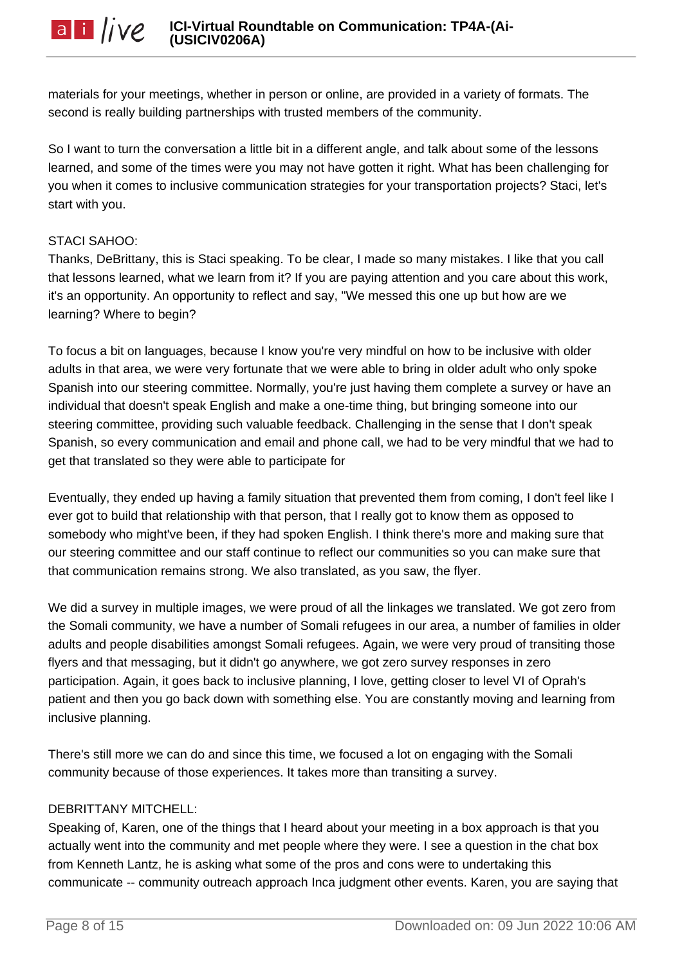materials for your meetings, whether in person or online, are provided in a variety of formats. The second is really building partnerships with trusted members of the community.

So I want to turn the conversation a little bit in a different angle, and talk about some of the lessons learned, and some of the times were you may not have gotten it right. What has been challenging for you when it comes to inclusive communication strategies for your transportation projects? Staci, let's start with you.

## STACI SAHOO:

Thanks, DeBrittany, this is Staci speaking. To be clear, I made so many mistakes. I like that you call that lessons learned, what we learn from it? If you are paying attention and you care about this work, it's an opportunity. An opportunity to reflect and say, "We messed this one up but how are we learning? Where to begin?

To focus a bit on languages, because I know you're very mindful on how to be inclusive with older adults in that area, we were very fortunate that we were able to bring in older adult who only spoke Spanish into our steering committee. Normally, you're just having them complete a survey or have an individual that doesn't speak English and make a one-time thing, but bringing someone into our steering committee, providing such valuable feedback. Challenging in the sense that I don't speak Spanish, so every communication and email and phone call, we had to be very mindful that we had to get that translated so they were able to participate for

Eventually, they ended up having a family situation that prevented them from coming, I don't feel like I ever got to build that relationship with that person, that I really got to know them as opposed to somebody who might've been, if they had spoken English. I think there's more and making sure that our steering committee and our staff continue to reflect our communities so you can make sure that that communication remains strong. We also translated, as you saw, the flyer.

We did a survey in multiple images, we were proud of all the linkages we translated. We got zero from the Somali community, we have a number of Somali refugees in our area, a number of families in older adults and people disabilities amongst Somali refugees. Again, we were very proud of transiting those flyers and that messaging, but it didn't go anywhere, we got zero survey responses in zero participation. Again, it goes back to inclusive planning, I love, getting closer to level VI of Oprah's patient and then you go back down with something else. You are constantly moving and learning from inclusive planning.

There's still more we can do and since this time, we focused a lot on engaging with the Somali community because of those experiences. It takes more than transiting a survey.

# DEBRITTANY MITCHELL:

Speaking of, Karen, one of the things that I heard about your meeting in a box approach is that you actually went into the community and met people where they were. I see a question in the chat box from Kenneth Lantz, he is asking what some of the pros and cons were to undertaking this communicate -- community outreach approach Inca judgment other events. Karen, you are saying that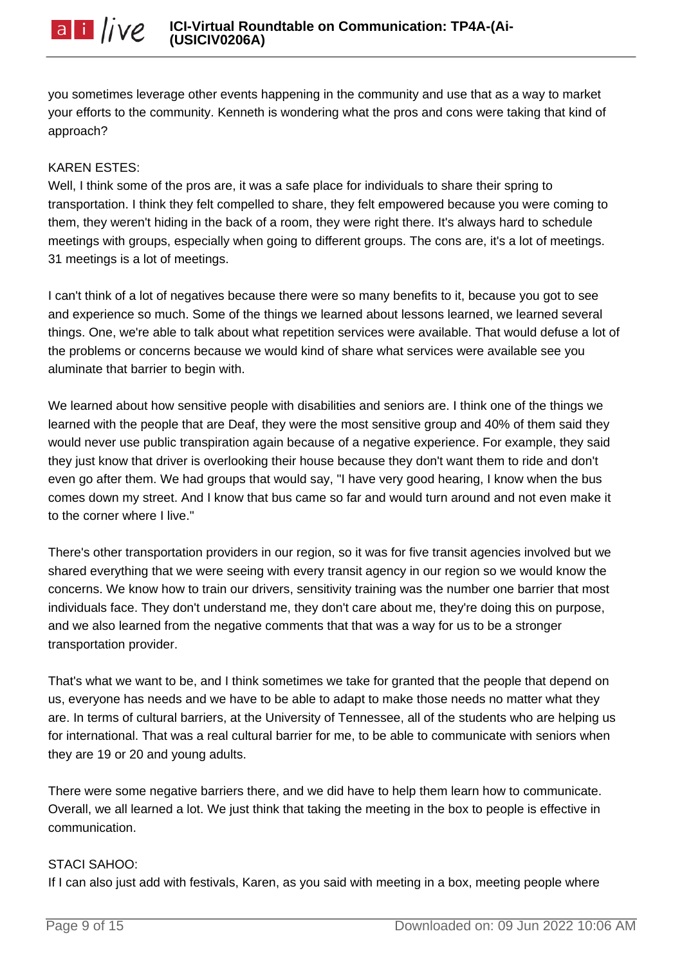you sometimes leverage other events happening in the community and use that as a way to market your efforts to the community. Kenneth is wondering what the pros and cons were taking that kind of approach?

### KAREN ESTES:

Well, I think some of the pros are, it was a safe place for individuals to share their spring to transportation. I think they felt compelled to share, they felt empowered because you were coming to them, they weren't hiding in the back of a room, they were right there. It's always hard to schedule meetings with groups, especially when going to different groups. The cons are, it's a lot of meetings. 31 meetings is a lot of meetings.

I can't think of a lot of negatives because there were so many benefits to it, because you got to see and experience so much. Some of the things we learned about lessons learned, we learned several things. One, we're able to talk about what repetition services were available. That would defuse a lot of the problems or concerns because we would kind of share what services were available see you aluminate that barrier to begin with.

We learned about how sensitive people with disabilities and seniors are. I think one of the things we learned with the people that are Deaf, they were the most sensitive group and 40% of them said they would never use public transpiration again because of a negative experience. For example, they said they just know that driver is overlooking their house because they don't want them to ride and don't even go after them. We had groups that would say, "I have very good hearing, I know when the bus comes down my street. And I know that bus came so far and would turn around and not even make it to the corner where I live."

There's other transportation providers in our region, so it was for five transit agencies involved but we shared everything that we were seeing with every transit agency in our region so we would know the concerns. We know how to train our drivers, sensitivity training was the number one barrier that most individuals face. They don't understand me, they don't care about me, they're doing this on purpose, and we also learned from the negative comments that that was a way for us to be a stronger transportation provider.

That's what we want to be, and I think sometimes we take for granted that the people that depend on us, everyone has needs and we have to be able to adapt to make those needs no matter what they are. In terms of cultural barriers, at the University of Tennessee, all of the students who are helping us for international. That was a real cultural barrier for me, to be able to communicate with seniors when they are 19 or 20 and young adults.

There were some negative barriers there, and we did have to help them learn how to communicate. Overall, we all learned a lot. We just think that taking the meeting in the box to people is effective in communication.

#### STACI SAHOO:

If I can also just add with festivals, Karen, as you said with meeting in a box, meeting people where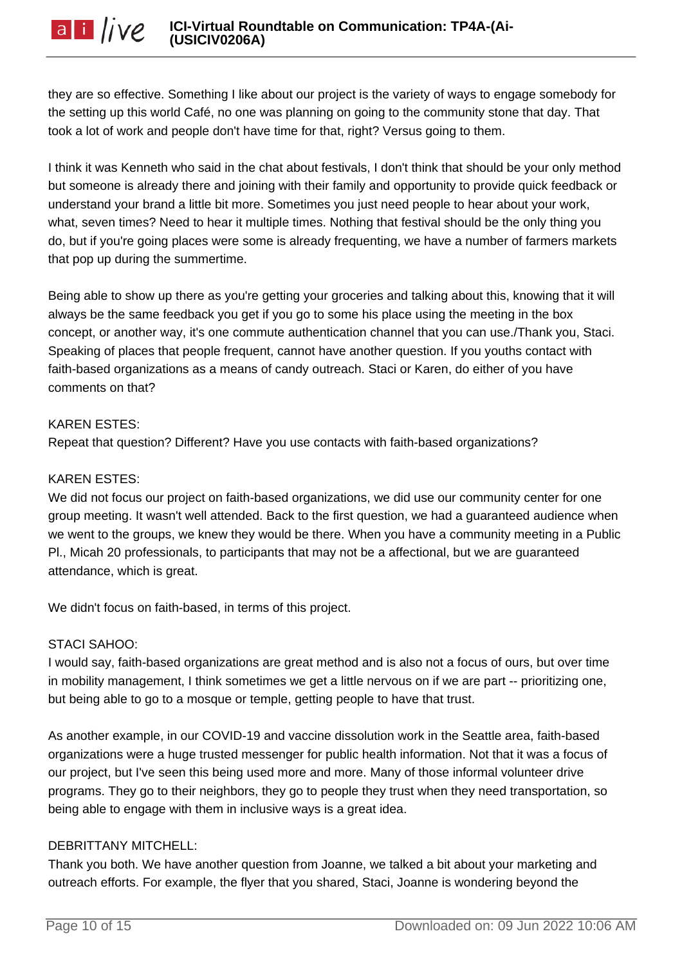they are so effective. Something I like about our project is the variety of ways to engage somebody for the setting up this world Café, no one was planning on going to the community stone that day. That took a lot of work and people don't have time for that, right? Versus going to them.

I think it was Kenneth who said in the chat about festivals, I don't think that should be your only method but someone is already there and joining with their family and opportunity to provide quick feedback or understand your brand a little bit more. Sometimes you just need people to hear about your work, what, seven times? Need to hear it multiple times. Nothing that festival should be the only thing you do, but if you're going places were some is already frequenting, we have a number of farmers markets that pop up during the summertime.

Being able to show up there as you're getting your groceries and talking about this, knowing that it will always be the same feedback you get if you go to some his place using the meeting in the box concept, or another way, it's one commute authentication channel that you can use./Thank you, Staci. Speaking of places that people frequent, cannot have another question. If you youths contact with faith-based organizations as a means of candy outreach. Staci or Karen, do either of you have comments on that?

### KAREN ESTES:

Repeat that question? Different? Have you use contacts with faith-based organizations?

## KAREN ESTES:

We did not focus our project on faith-based organizations, we did use our community center for one group meeting. It wasn't well attended. Back to the first question, we had a guaranteed audience when we went to the groups, we knew they would be there. When you have a community meeting in a Public Pl., Micah 20 professionals, to participants that may not be a affectional, but we are guaranteed attendance, which is great.

We didn't focus on faith-based, in terms of this project.

#### STACI SAHOO:

I would say, faith-based organizations are great method and is also not a focus of ours, but over time in mobility management, I think sometimes we get a little nervous on if we are part -- prioritizing one, but being able to go to a mosque or temple, getting people to have that trust.

As another example, in our COVID-19 and vaccine dissolution work in the Seattle area, faith-based organizations were a huge trusted messenger for public health information. Not that it was a focus of our project, but I've seen this being used more and more. Many of those informal volunteer drive programs. They go to their neighbors, they go to people they trust when they need transportation, so being able to engage with them in inclusive ways is a great idea.

# DEBRITTANY MITCHELL:

Thank you both. We have another question from Joanne, we talked a bit about your marketing and outreach efforts. For example, the flyer that you shared, Staci, Joanne is wondering beyond the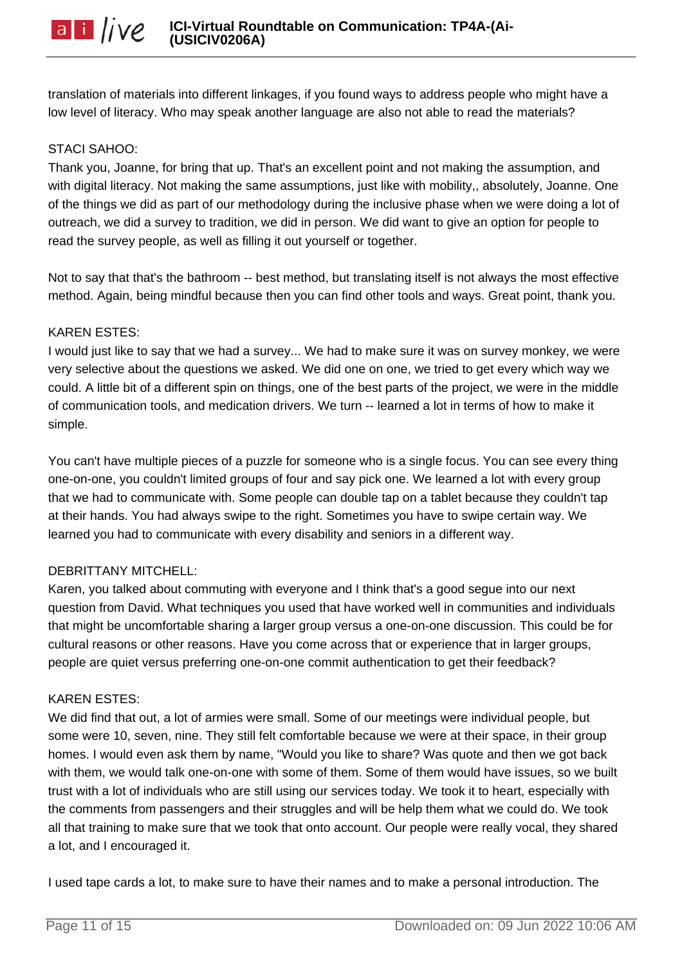translation of materials into different linkages, if you found ways to address people who might have a low level of literacy. Who may speak another language are also not able to read the materials?

# STACI SAHOO:

Thank you, Joanne, for bring that up. That's an excellent point and not making the assumption, and with digital literacy. Not making the same assumptions, just like with mobility, absolutely, Joanne. One of the things we did as part of our methodology during the inclusive phase when we were doing a lot of outreach, we did a survey to tradition, we did in person. We did want to give an option for people to read the survey people, as well as filling it out yourself or together.

Not to say that that's the bathroom -- best method, but translating itself is not always the most effective method. Again, being mindful because then you can find other tools and ways. Great point, thank you.

# KAREN ESTES:

I would just like to say that we had a survey... We had to make sure it was on survey monkey, we were very selective about the questions we asked. We did one on one, we tried to get every which way we could. A little bit of a different spin on things, one of the best parts of the project, we were in the middle of communication tools, and medication drivers. We turn -- learned a lot in terms of how to make it simple.

You can't have multiple pieces of a puzzle for someone who is a single focus. You can see every thing one-on-one, you couldn't limited groups of four and say pick one. We learned a lot with every group that we had to communicate with. Some people can double tap on a tablet because they couldn't tap at their hands. You had always swipe to the right. Sometimes you have to swipe certain way. We learned you had to communicate with every disability and seniors in a different way.

# DEBRITTANY MITCHELL:

Karen, you talked about commuting with everyone and I think that's a good segue into our next question from David. What techniques you used that have worked well in communities and individuals that might be uncomfortable sharing a larger group versus a one-on-one discussion. This could be for cultural reasons or other reasons. Have you come across that or experience that in larger groups, people are quiet versus preferring one-on-one commit authentication to get their feedback?

# KAREN ESTES:

We did find that out, a lot of armies were small. Some of our meetings were individual people, but some were 10, seven, nine. They still felt comfortable because we were at their space, in their group homes. I would even ask them by name, "Would you like to share? Was quote and then we got back with them, we would talk one-on-one with some of them. Some of them would have issues, so we built trust with a lot of individuals who are still using our services today. We took it to heart, especially with the comments from passengers and their struggles and will be help them what we could do. We took all that training to make sure that we took that onto account. Our people were really vocal, they shared a lot, and I encouraged it.

I used tape cards a lot, to make sure to have their names and to make a personal introduction. The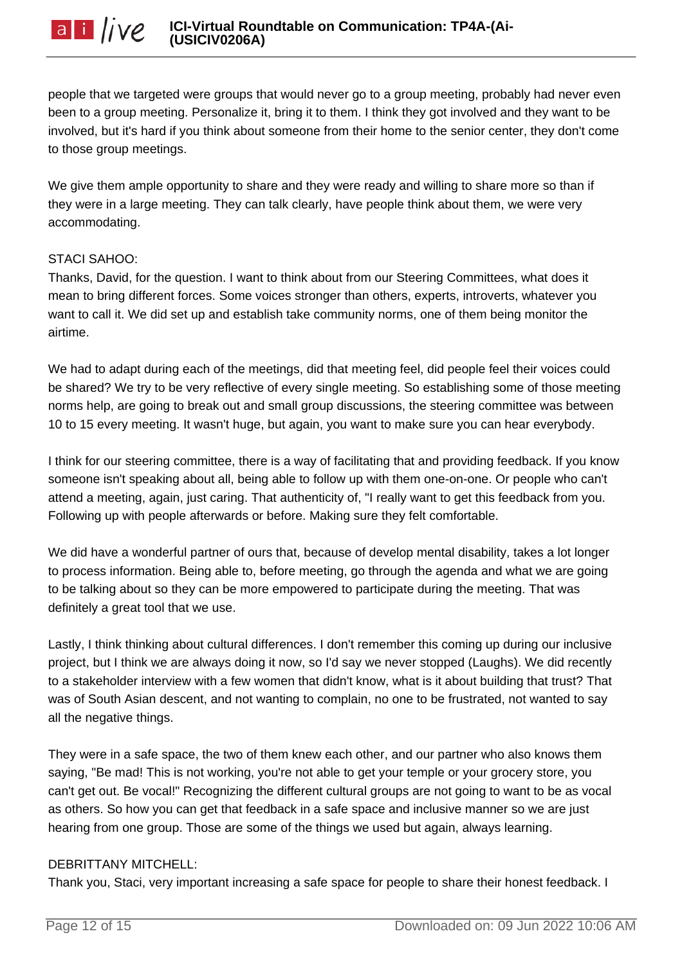people that we targeted were groups that would never go to a group meeting, probably had never even been to a group meeting. Personalize it, bring it to them. I think they got involved and they want to be involved, but it's hard if you think about someone from their home to the senior center, they don't come to those group meetings.

We give them ample opportunity to share and they were ready and willing to share more so than if they were in a large meeting. They can talk clearly, have people think about them, we were very accommodating.

### STACI SAHOO:

Thanks, David, for the question. I want to think about from our Steering Committees, what does it mean to bring different forces. Some voices stronger than others, experts, introverts, whatever you want to call it. We did set up and establish take community norms, one of them being monitor the airtime.

We had to adapt during each of the meetings, did that meeting feel, did people feel their voices could be shared? We try to be very reflective of every single meeting. So establishing some of those meeting norms help, are going to break out and small group discussions, the steering committee was between 10 to 15 every meeting. It wasn't huge, but again, you want to make sure you can hear everybody.

I think for our steering committee, there is a way of facilitating that and providing feedback. If you know someone isn't speaking about all, being able to follow up with them one-on-one. Or people who can't attend a meeting, again, just caring. That authenticity of, "I really want to get this feedback from you. Following up with people afterwards or before. Making sure they felt comfortable.

We did have a wonderful partner of ours that, because of develop mental disability, takes a lot longer to process information. Being able to, before meeting, go through the agenda and what we are going to be talking about so they can be more empowered to participate during the meeting. That was definitely a great tool that we use.

Lastly, I think thinking about cultural differences. I don't remember this coming up during our inclusive project, but I think we are always doing it now, so I'd say we never stopped (Laughs). We did recently to a stakeholder interview with a few women that didn't know, what is it about building that trust? That was of South Asian descent, and not wanting to complain, no one to be frustrated, not wanted to say all the negative things.

They were in a safe space, the two of them knew each other, and our partner who also knows them saying, "Be mad! This is not working, you're not able to get your temple or your grocery store, you can't get out. Be vocal!" Recognizing the different cultural groups are not going to want to be as vocal as others. So how you can get that feedback in a safe space and inclusive manner so we are just hearing from one group. Those are some of the things we used but again, always learning.

# DEBRITTANY MITCHELL:

Thank you, Staci, very important increasing a safe space for people to share their honest feedback. I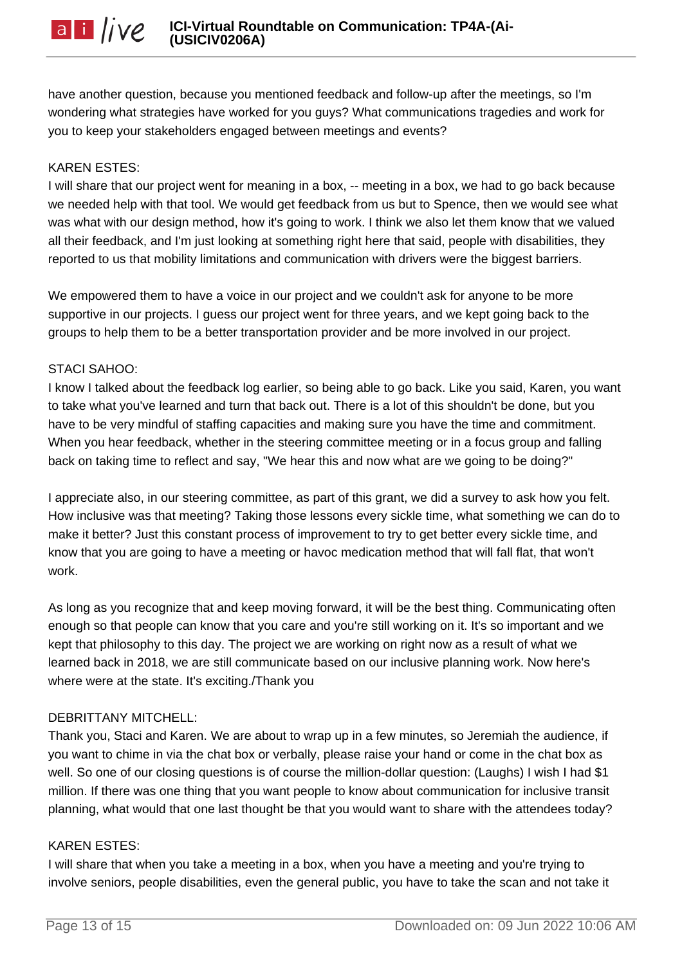have another question, because you mentioned feedback and follow-up after the meetings, so I'm wondering what strategies have worked for you guys? What communications tragedies and work for you to keep your stakeholders engaged between meetings and events?

#### KAREN ESTES:

I will share that our project went for meaning in a box, -- meeting in a box, we had to go back because we needed help with that tool. We would get feedback from us but to Spence, then we would see what was what with our design method, how it's going to work. I think we also let them know that we valued all their feedback, and I'm just looking at something right here that said, people with disabilities, they reported to us that mobility limitations and communication with drivers were the biggest barriers.

We empowered them to have a voice in our project and we couldn't ask for anyone to be more supportive in our projects. I guess our project went for three years, and we kept going back to the groups to help them to be a better transportation provider and be more involved in our project.

#### STACI SAHOO:

I know I talked about the feedback log earlier, so being able to go back. Like you said, Karen, you want to take what you've learned and turn that back out. There is a lot of this shouldn't be done, but you have to be very mindful of staffing capacities and making sure you have the time and commitment. When you hear feedback, whether in the steering committee meeting or in a focus group and falling back on taking time to reflect and say, "We hear this and now what are we going to be doing?"

I appreciate also, in our steering committee, as part of this grant, we did a survey to ask how you felt. How inclusive was that meeting? Taking those lessons every sickle time, what something we can do to make it better? Just this constant process of improvement to try to get better every sickle time, and know that you are going to have a meeting or havoc medication method that will fall flat, that won't work.

As long as you recognize that and keep moving forward, it will be the best thing. Communicating often enough so that people can know that you care and you're still working on it. It's so important and we kept that philosophy to this day. The project we are working on right now as a result of what we learned back in 2018, we are still communicate based on our inclusive planning work. Now here's where were at the state. It's exciting./Thank you

# DEBRITTANY MITCHELL:

Thank you, Staci and Karen. We are about to wrap up in a few minutes, so Jeremiah the audience, if you want to chime in via the chat box or verbally, please raise your hand or come in the chat box as well. So one of our closing questions is of course the million-dollar question: (Laughs) I wish I had \$1 million. If there was one thing that you want people to know about communication for inclusive transit planning, what would that one last thought be that you would want to share with the attendees today?

#### KAREN ESTES:

I will share that when you take a meeting in a box, when you have a meeting and you're trying to involve seniors, people disabilities, even the general public, you have to take the scan and not take it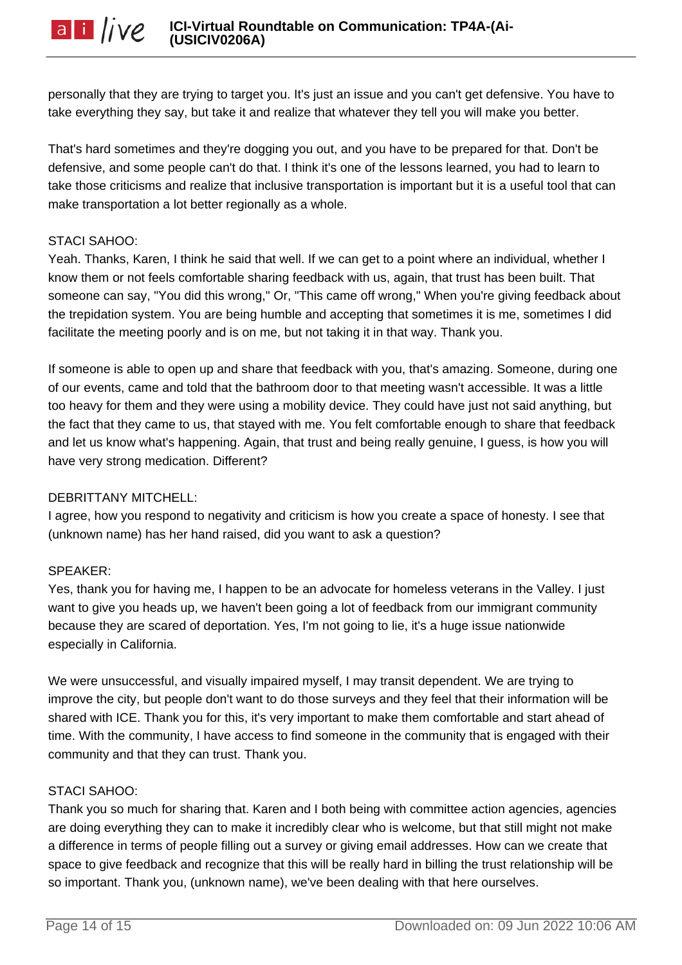personally that they are trying to target you. It's just an issue and you can't get defensive. You have to take everything they say, but take it and realize that whatever they tell you will make you better.

That's hard sometimes and they're dogging you out, and you have to be prepared for that. Don't be defensive, and some people can't do that. I think it's one of the lessons learned, you had to learn to take those criticisms and realize that inclusive transportation is important but it is a useful tool that can make transportation a lot better regionally as a whole.

## STACI SAHOO:

Yeah. Thanks, Karen, I think he said that well. If we can get to a point where an individual, whether I know them or not feels comfortable sharing feedback with us, again, that trust has been built. That someone can say, "You did this wrong," Or, "This came off wrong," When you're giving feedback about the trepidation system. You are being humble and accepting that sometimes it is me, sometimes I did facilitate the meeting poorly and is on me, but not taking it in that way. Thank you.

If someone is able to open up and share that feedback with you, that's amazing. Someone, during one of our events, came and told that the bathroom door to that meeting wasn't accessible. It was a little too heavy for them and they were using a mobility device. They could have just not said anything, but the fact that they came to us, that stayed with me. You felt comfortable enough to share that feedback and let us know what's happening. Again, that trust and being really genuine, I guess, is how you will have very strong medication. Different?

# DEBRITTANY MITCHELL:

I agree, how you respond to negativity and criticism is how you create a space of honesty. I see that (unknown name) has her hand raised, did you want to ask a question?

# SPEAKER:

Yes, thank you for having me, I happen to be an advocate for homeless veterans in the Valley. I just want to give you heads up, we haven't been going a lot of feedback from our immigrant community because they are scared of deportation. Yes, I'm not going to lie, it's a huge issue nationwide especially in California.

We were unsuccessful, and visually impaired myself, I may transit dependent. We are trying to improve the city, but people don't want to do those surveys and they feel that their information will be shared with ICE. Thank you for this, it's very important to make them comfortable and start ahead of time. With the community, I have access to find someone in the community that is engaged with their community and that they can trust. Thank you.

#### STACI SAHOO:

Thank you so much for sharing that. Karen and I both being with committee action agencies, agencies are doing everything they can to make it incredibly clear who is welcome, but that still might not make a difference in terms of people filling out a survey or giving email addresses. How can we create that space to give feedback and recognize that this will be really hard in billing the trust relationship will be so important. Thank you, (unknown name), we've been dealing with that here ourselves.